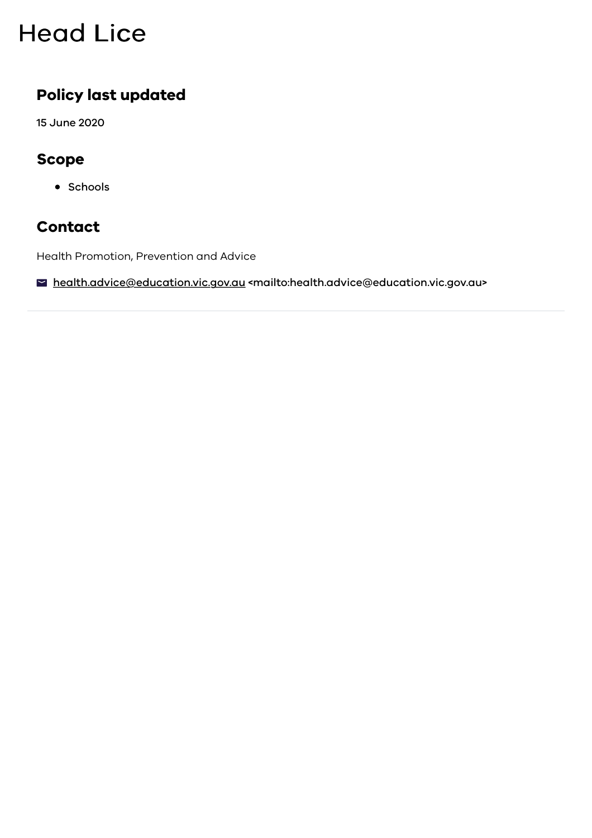# **Head Lice**

### **Policy last updated**

15 June 2020

### **Scope**

• Schools

### **Contact**

Health Promotion, Prevention and Advice

■ [health.advice@education.vic.gov.au <mailto:health.advice@education.vic.gov.au>](mailto:health.advice@education.vic.gov.au)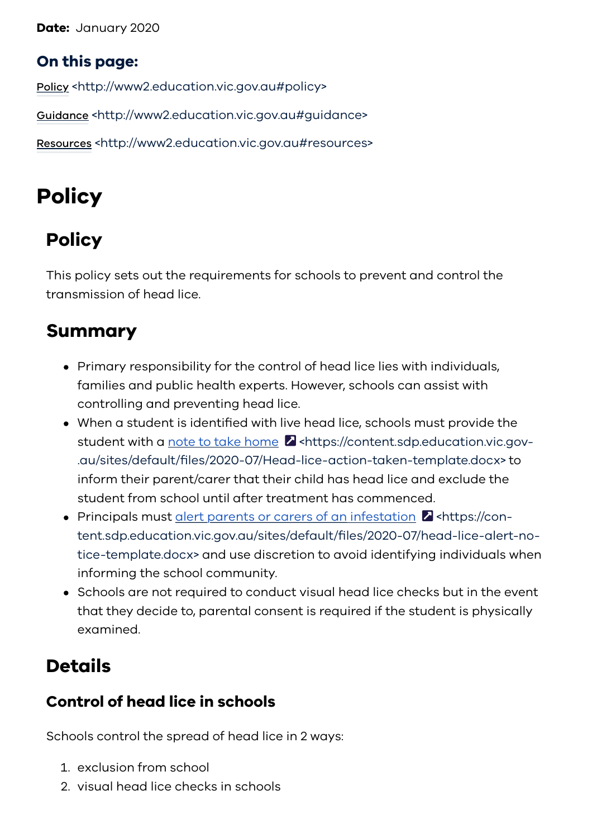**Date:** January 2020

### **On this page:**

Policy [<http://www2.education.vic.gov.au#policy>](#page-1-0)

Guidance [<http://www2.education.vic.gov.au#guidance>](#page-6-0)

Resources [<http://www2.education.vic.gov.au#resources>](#page-7-0)

# <span id="page-1-0"></span>**Policy**

## **Policy**

This policy sets out the requirements for schools to prevent and control the transmission of head lice.

## **Summary**

- Primary responsibility for the control of head lice lies with individuals, families and public health experts. However, schools can assist with controlling and preventing head lice.
- When a student is identified with live head lice, schools must provide the student with a note to take home **Z** <https://content.sdp.education.vic.gov-[.au/sites/default/files/2020-07/Head-lice-action-taken-template.docx> to](https://content.sdp.education.vic.gov.au/sites/default/files/2020-07/Head-lice-action-taken-template.docx) inform their parent/carer that their child has head lice and exclude the student from school until after treatment has commenced.
- Principals must alert parents or carers of an infestation  $\blacksquare$  <https://con[tent.sdp.education.vic.gov.au/sites/default/files/2020-07/head-lice-alert-no](https://content.sdp.education.vic.gov.au/sites/default/files/2020-07/head-lice-alert-notice-template.docx)tice-template.docx> and use discretion to avoid identifying individuals when informing the school community.
- Schools are not required to conduct visual head lice checks but in the event that they decide to, parental consent is required if the student is physically examined.

## **Details**

## **Control of head lice in schools**

Schools control the spread of head lice in 2 ways:

- 1. exclusion from school
- 2. visual head lice checks in schools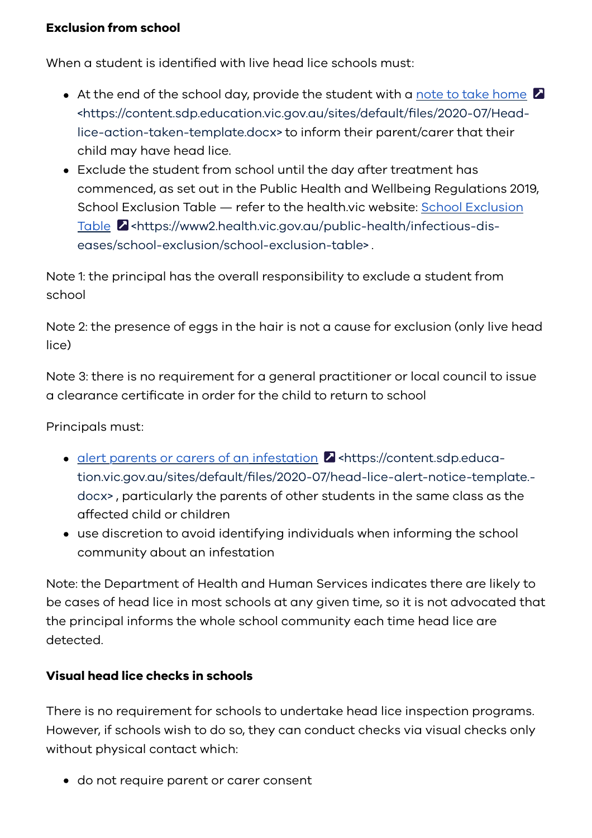#### **Exclusion from school**

When a student is identified with live head lice schools must:

- $\bullet$  At the end of the school day, provide the student with a note to take home  $\blacksquare$ [<https://content.sdp.education.vic.gov.au/sites/default/files/2020-07/Head](https://content.sdp.education.vic.gov.au/sites/default/files/2020-07/Head-lice-action-taken-template.docx)lice-action-taken-template.docx> to inform their parent/carer that their child may have head lice.
- Exclude the student from school until the day after treatment has commenced, as set out in the Public Health and Wellbeing Regulations 2019, [School Exclusion Table — refer to the health.vic website: School Exclusion](https://www2.health.vic.gov.au/public-health/infectious-diseases/school-exclusion/school-exclusion-table) Table **Z** <https://www2.health.vic.gov.au/public-health/infectious-diseases/school-exclusion/school-exclusion-table> .

Note 1: the principal has the overall responsibility to exclude a student from school

Note 2: the presence of eggs in the hair is not a cause for exclusion (only live head lice)

Note 3: there is no requirement for a general practitioner or local council to issue a clearance certificate in order for the child to return to school

Principals must:

- alert parents or carers of an infestation **Z** <https://content.sdp.educa[tion.vic.gov.au/sites/default/files/2020-07/head-lice-alert-notice-template.](https://content.sdp.education.vic.gov.au/sites/default/files/2020-07/head-lice-alert-notice-template.docx) docx> , particularly the parents of other students in the same class as the affected child or children
- use discretion to avoid identifying individuals when informing the school community about an infestation

Note: the Department of Health and Human Services indicates there are likely to be cases of head lice in most schools at any given time, so it is not advocated that the principal informs the whole school community each time head lice are detected.

#### **Visual head lice checks in schools**

There is no requirement for schools to undertake head lice inspection programs. However, if schools wish to do so, they can conduct checks via visual checks only without physical contact which:

do not require parent or carer consent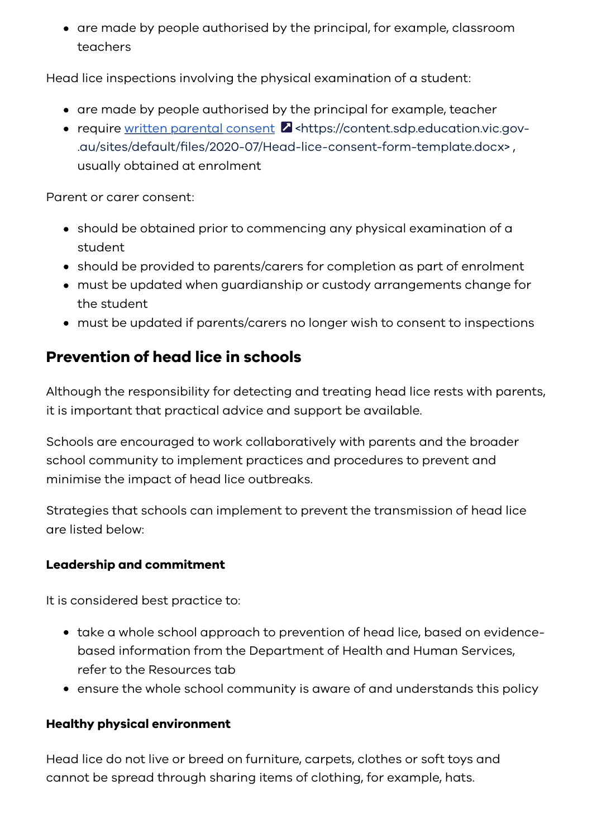• are made by people authorised by the principal, for example, classroom teachers

Head lice inspections involving the physical examination of a student:

- are made by people authorised by the principal for example, teacher
- require written parental consent **Z** <https://content.sdp.education.vic.gov-[.au/sites/default/files/2020-07/Head-lice-consent-form-template.docx> ,](https://content.sdp.education.vic.gov.au/sites/default/files/2020-07/Head-lice-consent-form-template.docx) usually obtained at enrolment

Parent or carer consent:

- should be obtained prior to commencing any physical examination of a student
- should be provided to parents/carers for completion as part of enrolment
- must be updated when guardianship or custody arrangements change for the student
- must be updated if parents/carers no longer wish to consent to inspections

## **Prevention of head lice in schools**

Although the responsibility for detecting and treating head lice rests with parents, it is important that practical advice and support be available.

Schools are encouraged to work collaboratively with parents and the broader school community to implement practices and procedures to prevent and minimise the impact of head lice outbreaks.

Strategies that schools can implement to prevent the transmission of head lice are listed below:

#### **Leadership and commitment**

It is considered best practice to:

- take a whole school approach to prevention of head lice, based on evidencebased information from the Department of Health and Human Services, refer to the Resources tab
- ensure the whole school community is aware of and understands this policy

#### **Healthy physical environment**

Head lice do not live or breed on furniture, carpets, clothes or soft toys and cannot be spread through sharing items of clothing, for example, hats.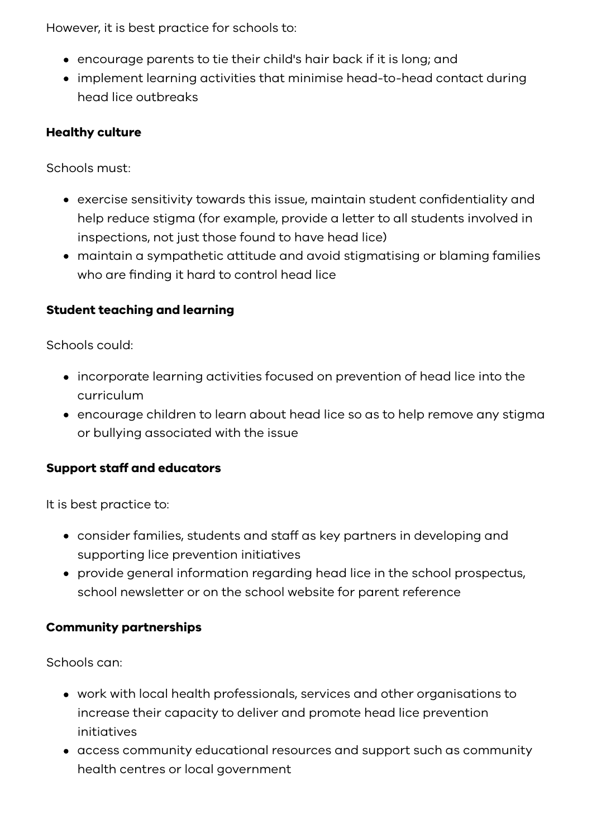However, it is best practice for schools to:

- encourage parents to tie their child's hair back if it is long; and
- implement learning activities that minimise head-to-head contact during head lice outbreaks

#### **Healthy culture**

Schools must:

- exercise sensitivity towards this issue, maintain student confidentiality and help reduce stigma (for example, provide a letter to all students involved in inspections, not just those found to have head lice)
- maintain a sympathetic attitude and avoid stigmatising or blaming families who are finding it hard to control head lice

#### **Student teaching and learning**

Schools could:

- incorporate learning activities focused on prevention of head lice into the curriculum
- encourage children to learn about head lice so as to help remove any stigma or bullying associated with the issue

#### **Support staff and educators**

It is best practice to:

- consider families, students and staff as key partners in developing and supporting lice prevention initiatives
- provide general information regarding head lice in the school prospectus, school newsletter or on the school website for parent reference

#### **Community partnerships**

Schools can:

- work with local health professionals, services and other organisations to increase their capacity to deliver and promote head lice prevention initiatives
- access community educational resources and support such as community health centres or local government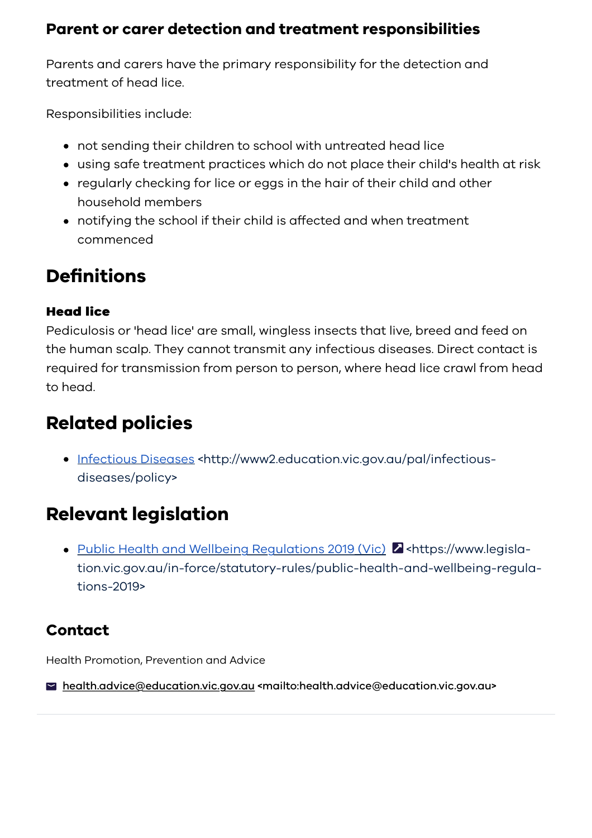### **Parent or carer detection and treatment responsibilities**

Parents and carers have the primary responsibility for the detection and treatment of head lice.

Responsibilities include:

- not sending their children to school with untreated head lice
- using safe treatment practices which do not place their child's health at risk
- regularly checking for lice or eggs in the hair of their child and other household members
- notifying the school if their child is affected and when treatment commenced

## **Definitions**

#### **Head lice Head lice**

Pediculosis or 'head lice' are small, wingless insects that live, breed and feed on the human scalp. They cannot transmit any infectious diseases. Direct contact is required for transmission from person to person, where head lice crawl from head to head.

## **Related policies**

• [Infectious Diseases <http://www2.education.vic.gov.au/pal/infectious](https://www2.education.vic.gov.au/pal/infectious-diseases/policy)diseases/policy>

## **Relevant legislation**

• Public Health and Wellbeing Regulations 2019 (Vic) 2 <https://www.leqisla[tion.vic.gov.au/in-force/statutory-rules/public-health-and-wellbeing-regula](https://www.legislation.vic.gov.au/in-force/statutory-rules/public-health-and-wellbeing-regulations-2019)tions-2019>

## **Contact**

Health Promotion, Prevention and Advice

[health.advice@education.vic.gov.au <mailto:health.advice@education.vic.gov.au>](mailto:health.advice@education.vic.gov.au)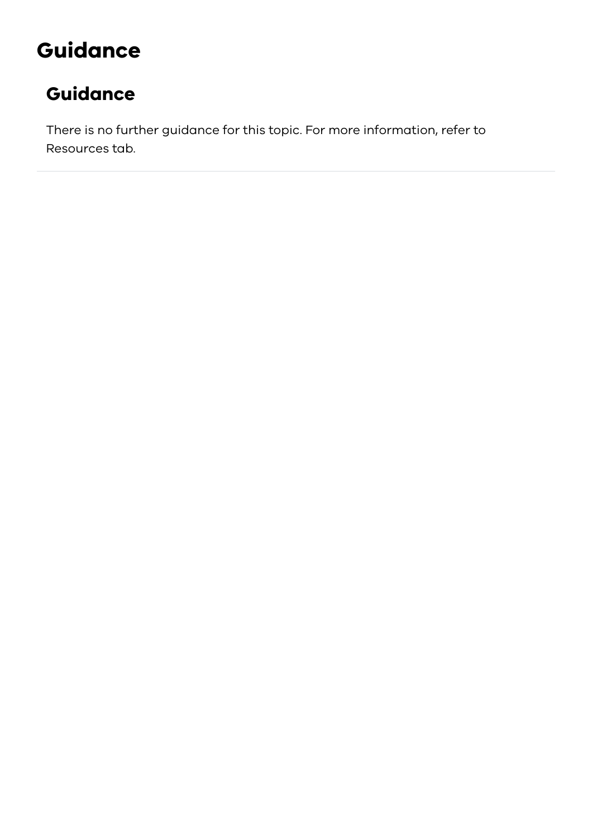# <span id="page-6-0"></span>**Guidance**

## **Guidance**

There is no further guidance for this topic. For more information, refer to Resources tab.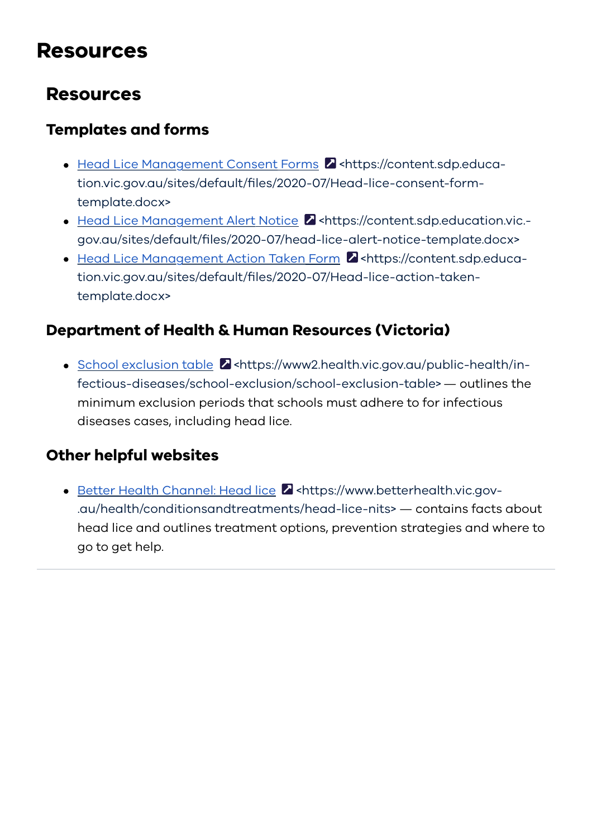## <span id="page-7-0"></span>**Resources**

## **Resources**

### **Templates and forms**

- Head Lice Management Consent Forms **Z** <https://content.sdp.educa[tion.vic.gov.au/sites/default/files/2020-07/Head-lice-consent-form](https://content.sdp.education.vic.gov.au/sites/default/files/2020-07/Head-lice-consent-form-template.docx)template.docx>
- Head Lice Management Alert Notice 2 <https://content.sdp.education.vic.[gov.au/sites/default/files/2020-07/head-lice-alert-notice-template.docx>](https://content.sdp.education.vic.gov.au/sites/default/files/2020-07/head-lice-alert-notice-template.docx)
- Head Lice Management Action Taken Form **Z** <https://content.sdp.educa[tion.vic.gov.au/sites/default/files/2020-07/Head-lice-action-taken](https://content.sdp.education.vic.gov.au/sites/default/files/2020-07/Head-lice-action-taken-template.docx)template.docx>

### **Department of Health & Human Resources (Victoria)**

 $\bullet$  School exclusion table  $\blacksquare$  <https://www2.health.vic.gov.au/public-health/in[fectious-diseases/school-exclusion/school-exclusion-table> — outlines the](https://www2.health.vic.gov.au/public-health/infectious-diseases/school-exclusion/school-exclusion-table) minimum exclusion periods that schools must adhere to for infectious diseases cases, including head lice.

### **Other helpful websites**

Better Health Channel: Head lice 2 <https://www.betterhealth.vic.gov-[.au/health/conditionsandtreatments/head-lice-nits> — contains facts](https://www.betterhealth.vic.gov.au/health/conditionsandtreatments/head-lice-nits) about head lice and outlines treatment options, prevention strategies and where to go to get help.